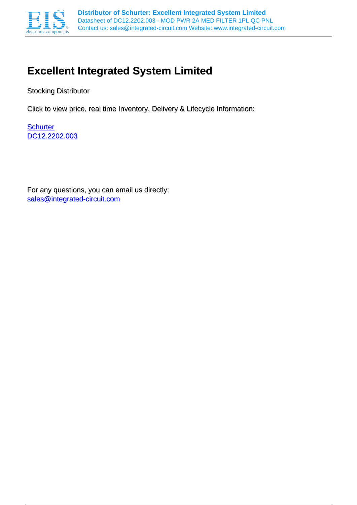

# **Excellent Integrated System Limited**

Stocking Distributor

Click to view price, real time Inventory, Delivery & Lifecycle Information:

**[Schurter](http://www.integrated-circuit.com/manufacturers/Schurter.html)** [DC12.2202.003](http://www.integrated-circuit.com/tag/DC12.2202.003.html)

For any questions, you can email us directly: [sales@integrated-circuit.com](mailto:sales@integrated-circuit.com)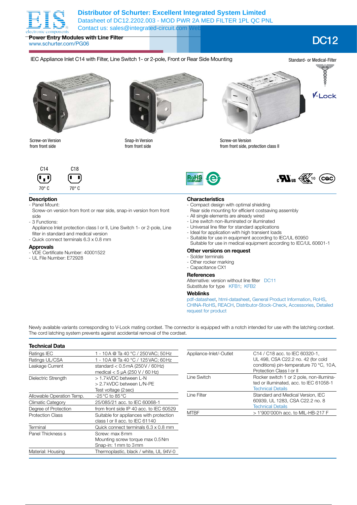

**Power Entry Modules with Line Filter** www.schurter.com/PG06 DC12

## IEC Appliance Inlet C14 with Filter, Line Switch 1- or 2-pole, Front or Rear Side Mounting



Screw-on Version from front side



Snap-In Version from front side



 $\mathbf{c}\mathbf{W}_{\text{us}}\overset{\sim}{\underset{\sim}{\longrightarrow}}$  (cac)

Screw-on Version from front side, protection class II



# **Description**

- Panel Mount:
- Screw-on version from front or rear side, snap-in version from front side
- 3 Functions:
- Appliance Inlet protection class I or II, Line Switch 1- or 2-pole, Line filter in standard and medical version
- Quick connect terminals 6.3 x 0.8 mm

### **Approvals**

- VDE Certificate Number: 40001522
- UL File Number: E72928



- Compact design with optimal shielding
- Rear side mounting for efficient costsaving assembly
- All single elements are already wired
- Line switch non-illuminated or illuminated
- Universal line filter for standard applications
- Ideal for application with high transient loads
- Suitable for use in equipment according to IEC/UL 60950
- Suitable for use in medical equipment according to IEC/UL 60601-1

### **Other versions on request**

- Solder terminals
- Other rocker marking
- Capacitance CX1

### **References**

Alternative: version without line filter DC11 Substitute for type KFB1; KFB2

## **Weblinks**

pdf-datasheet, html-datasheet, General Product Information, RoHS, CHINA-RoHS, REACH, Distributor-Stock-Check, Accessories, Detailed request for product

Newly available variants corresponding to V-Lock mating cordset. The connector is equipped with a notch intended for use with the latching cordset. The cord latching system prevents against accidental removal of the cordset.

| <b>Technical Data</b>                                 |                                                                             |                         |                                                                                                          |  |  |
|-------------------------------------------------------|-----------------------------------------------------------------------------|-------------------------|----------------------------------------------------------------------------------------------------------|--|--|
| Ratings IEC                                           | 1 - 10 A @ Ta 40 °C / 250 VAC; 50 Hz                                        | Appliance-Inlet/-Outlet | C14 / C18 acc. to IEC 60320-1.                                                                           |  |  |
| Ratings UL/CSA                                        | - 10A @ Ta 40 °C / 125 VAC; 60 Hz                                           |                         | UL 498, CSA C22.2 no. 42 (for cold                                                                       |  |  |
| Leakage Current                                       | standard $<$ 0.5 mA (250 V / 60 Hz)<br>medical $<$ 5 µA (250 V / 60 Hz)     |                         | conditions) pin-temperature 70 °C, 10A,<br>Protection Class I or II                                      |  |  |
| Dielectric Strength                                   | > 1.7 kVDC between L-N<br>> 2.7 kVDC between L/N-PE<br>Test voltage (2 sec) | Line Switch             | Rocker switch 1 or 2 pole, non-illumina-<br>ted or illuminated, acc. to IEC 61058-1<br>Technical Details |  |  |
| Allowable Operation Temp.<br>$-25^{\circ}$ C to 85 °C |                                                                             | Line Filter             | Standard and Medical Version, IEC                                                                        |  |  |
| Climatic Category                                     | 25/085/21 acc. to IEC 60068-1                                               |                         | 60939, UL 1283, CSA C22.2 no. 8                                                                          |  |  |
| Degree of Protection                                  | from front side IP 40 acc. to IEC 60529                                     |                         | <b>Technical Details</b>                                                                                 |  |  |
| <b>Protection Class</b>                               | Suitable for appliances with protection<br>class I or II acc. to IEC 61140  | <b>MTBF</b>             | > 1'900'000h acc. to MIL-HB-217 F                                                                        |  |  |
| Terminal                                              | Quick connect terminals 6.3 x 0.8 mm                                        |                         |                                                                                                          |  |  |
| Panel Thickness s                                     | Screw: max 8 mm                                                             |                         |                                                                                                          |  |  |
|                                                       | Mounting screw torque max 0.5 Nm<br>Snap-in: 1 mm to 3 mm                   |                         |                                                                                                          |  |  |
| Material: Housing                                     | Thermoplastic, black / white, UL 94V-0                                      |                         |                                                                                                          |  |  |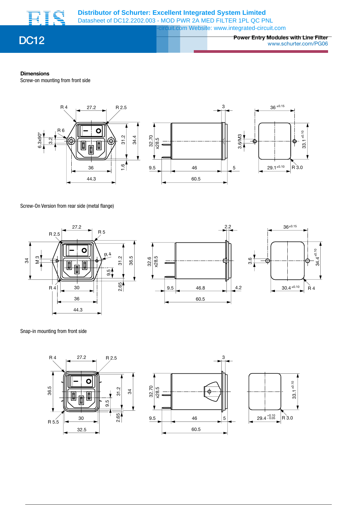



**Power Entry Modules with Line Filter** DC12 www.schurter.com/PG06

### **Dimensions**

Screw-on mounting from front side



Screw-On Version from rear side (metal flange)







### Snap-in mounting from front side





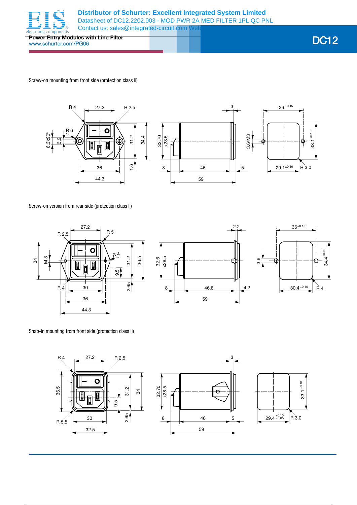

**Power Entry Modules with Line Filter** www.schurter.com/PG06 DC12

Screw-on mounting from front side (protection class II)



Screw-on version from rear side (protection class II)







Snap-in mounting from front side (protection class II)

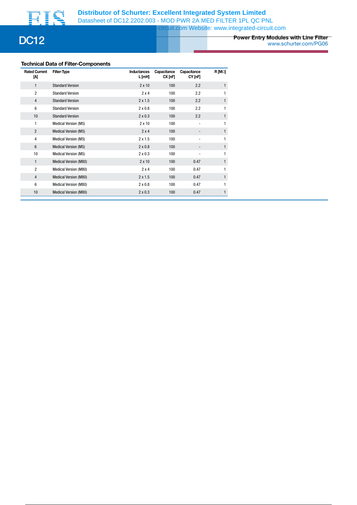

# **Power Entry Modules with Line Filter** DC12 www.schurter.com/PG06

# **Technical Data of Filter-Components**

| <b>Rated Current</b><br>M | Filter-Type                  | Inductances<br>L [mH] | Capacitance<br>CX[ <sub>nF</sub> ] | Capacitance<br>CY [nF]   | $R$ [M $\Omega$ ] |
|---------------------------|------------------------------|-----------------------|------------------------------------|--------------------------|-------------------|
| 1                         | <b>Standard Version</b>      | $2 \times 10$         | 100                                | 2.2                      | $\mathbf{1}$      |
| $\overline{2}$            | <b>Standard Version</b>      | 2x4                   | 100                                | 2.2                      | 1                 |
| $\overline{4}$            | <b>Standard Version</b>      | $2 \times 1.5$        | 100                                | 2.2                      | 1                 |
| 6                         | <b>Standard Version</b>      | $2 \times 0.8$        | 100                                | 2.2                      | 1                 |
| 10                        | <b>Standard Version</b>      | $2 \times 0.3$        | 100                                | 2.2                      | $\mathbf{1}$      |
| 1                         | Medical Version (M5)         | $2 \times 10$         | 100                                | $\overline{\phantom{a}}$ | 1                 |
| $\overline{2}$            | Medical Version (M5)         | 2x4                   | 100                                |                          | $\mathbf{1}$      |
| $\overline{4}$            | <b>Medical Version (M5)</b>  | $2 \times 1.5$        | 100                                |                          |                   |
| $6\phantom{1}$            | <b>Medical Version (M5)</b>  | $2 \times 0.8$        | 100                                |                          | $\mathbf{1}$      |
| 10                        | <b>Medical Version (M5)</b>  | $2 \times 0.3$        | 100                                |                          | 1                 |
| 1                         | Medical Version (M80)        | $2 \times 10$         | 100                                | 0.47                     | $\mathbf{1}$      |
| $\overline{2}$            | <b>Medical Version (M80)</b> | $2 \times 4$          | 100                                | 0.47                     | 1                 |
| $\overline{4}$            | <b>Medical Version (M80)</b> | $2 \times 1.5$        | 100                                | 0.47                     | $\mathbf{1}$      |
| 6                         | <b>Medical Version (M80)</b> | $2 \times 0.8$        | 100                                | 0.47                     | 1                 |
| 10                        | Medical Version (M80)        | $2 \times 0.3$        | 100                                | 0.47                     | 1                 |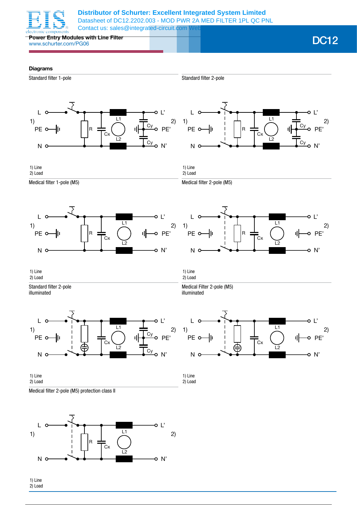

**Power Entry Modules with Line Filter** www.schurter.com/PG06 DC12

## **Diagrams**



Standard filter 2-pole





1) Line 2) Load

1) Line 2) Load

illuminated

L

PE o

N

Medical filter 2-pole (M5)

Medical Filter 2-pole (M5)

Medical filter 1-pole (M5)





Cx

L1

-o L'

o PE'

ıl

o N'

L2

1) Line 2) Load

1) Line 2) Load

Standard filter 2-pole illuminated





Medical filter 2-pole (M5) protection class II



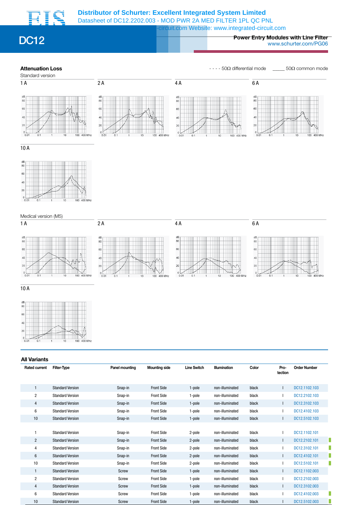

# **Power Entry Modules with Line Filter** DC12 www.schurter.com/PG06

**Attenuation Loss Attenuation Loss - - - 50Ω** differential mode \_\_\_\_ 50Ω common mode



10 A





 $10A$ 



| <b>All Variants</b>  |                         |                |                      |                    |                     |       |                 |                     |
|----------------------|-------------------------|----------------|----------------------|--------------------|---------------------|-------|-----------------|---------------------|
| <b>Rated current</b> | <b>Filter-Type</b>      | Panel mounting | <b>Mounting side</b> | <b>Line Switch</b> | <b>Illumination</b> | Color | Pro-<br>tection | <b>Order Number</b> |
| $\mathbf{1}$         | <b>Standard Version</b> | Snap-in        | <b>Front Side</b>    | 1-pole             | non-illuminated     | black |                 | DC12.1102.103       |
| $\overline{2}$       | <b>Standard Version</b> | Snap-in        | <b>Front Side</b>    | 1-pole             | non-illuminated     | black |                 | DC12.2102.103       |
| 4                    | <b>Standard Version</b> | Snap-in        | <b>Front Side</b>    | 1-pole             | non-illuminated     | black |                 | DC12.3102.103       |
| 6                    | <b>Standard Version</b> | Snap-in        | <b>Front Side</b>    | 1-pole             | non-illuminated     | black |                 | DC12.4102.103       |
| 10                   | <b>Standard Version</b> | Snap-in        | <b>Front Side</b>    | 1-pole             | non-illuminated     | black |                 | DC12.5102.103       |
|                      |                         |                |                      |                    |                     |       |                 |                     |
| 1                    | <b>Standard Version</b> | Snap-in        | <b>Front Side</b>    | 2-pole             | non-illuminated     | black |                 | DC12.1102.101       |
| $\overline{2}$       | <b>Standard Version</b> | Snap-in        | <b>Front Side</b>    | 2-pole             | non-illuminated     | black |                 | DC12.2102.101       |
| 4                    | <b>Standard Version</b> | Snap-in        | <b>Front Side</b>    | 2-pole             | non-illuminated     | black |                 | DC12.3102.101       |
| 6                    | <b>Standard Version</b> | Snap-in        | <b>Front Side</b>    | 2-pole             | non-illuminated     | black |                 | DC12.4102.101       |
| 10                   | <b>Standard Version</b> | Snap-in        | <b>Front Side</b>    | 2-pole             | non-illuminated     | black |                 | DC12.5102.101       |
| $\mathbf{1}$         | <b>Standard Version</b> | Screw          | <b>Front Side</b>    | 1-pole             | non-illuminated     | black |                 | DC12.1102.003       |
| $\overline{2}$       | <b>Standard Version</b> | Screw          | <b>Front Side</b>    | 1-pole             | non-illuminated     | black |                 | DC12.2102.003       |
| 4                    | <b>Standard Version</b> | Screw          | <b>Front Side</b>    | 1-pole             | non-illuminated     | black |                 | DC12.3102.003       |
| 6                    | <b>Standard Version</b> | Screw          | <b>Front Side</b>    | 1-pole             | non-illuminated     | black |                 | DC12.4102.003       |
| 10                   | <b>Standard Version</b> | Screw          | <b>Front Side</b>    | 1-pole             | non-illuminated     | black |                 | DC12.5102.003       |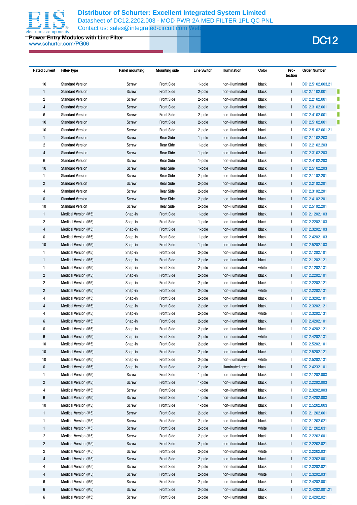

**Power Entry Modules with Line Filter** www.schurter.com/PG06 DC12

| <b>Rated current</b>    | Filter-Type                 | Panel mounting | <b>Mounting side</b> | <b>Line Switch</b> | Illumination      | Color | Pro-<br>tection | <b>Order Number</b> |
|-------------------------|-----------------------------|----------------|----------------------|--------------------|-------------------|-------|-----------------|---------------------|
| 10                      | <b>Standard Version</b>     | Screw          | <b>Front Side</b>    | 1-pole             | non-illuminated   | black |                 | DC12.5102.003.21    |
| $\mathbf{1}$            | <b>Standard Version</b>     | <b>Screw</b>   | <b>Front Side</b>    | 2-pole             | non-illuminated   | black | $\mathsf{L}$    | I<br>DC12.1102.001  |
| $\overline{2}$          | <b>Standard Version</b>     | Screw          | <b>Front Side</b>    | 2-pole             | non-illuminated   | black | $\mathbf{I}$    | п<br>DC12.2102.001  |
| 4                       | <b>Standard Version</b>     | <b>Screw</b>   | <b>Front Side</b>    | 2-pole             | non-illuminated   | black | $\mathbf{I}$    | П<br>DC12.3102.001  |
| 6                       | <b>Standard Version</b>     | Screw          | <b>Front Side</b>    | 2-pole             | non-illuminated   | black | $\mathbf{I}$    | П<br>DC12.4102.001  |
| 10                      | <b>Standard Version</b>     | <b>Screw</b>   | <b>Front Side</b>    | 2-pole             | non-illuminated   | black | $\mathbf{I}$    | п<br>DC12.5102.001  |
| 10                      | <b>Standard Version</b>     | <b>Screw</b>   | <b>Front Side</b>    | 2-pole             | non-illuminated   | black | $\mathbf{L}$    | DC12.5102.001.21    |
| $\mathbf{1}$            | <b>Standard Version</b>     | <b>Screw</b>   | <b>Rear Side</b>     | 1-pole             | non-illuminated   | black | $\mathbf{I}$    | DC12.1102.203       |
| $\overline{c}$          | <b>Standard Version</b>     | Screw          | <b>Rear Side</b>     | 1-pole             | non-illuminated   | black | $\mathbf{L}$    | DC12.2102.203       |
| $\overline{4}$          | <b>Standard Version</b>     | <b>Screw</b>   | <b>Rear Side</b>     | 1-pole             | non-illuminated   | black | $\mathbf{I}$    | DC12.3102.203       |
| 6                       | <b>Standard Version</b>     | Screw          | <b>Rear Side</b>     | 1-pole             | non-illuminated   | black | $\mathbf{I}$    | DC12.4102.203       |
| 10                      | <b>Standard Version</b>     | Screw          | <b>Rear Side</b>     | 1-pole             | non-illuminated   | black | $\mathbf{I}$    | DC12.5102.203       |
| $\mathbf{1}$            | <b>Standard Version</b>     | Screw          | <b>Rear Side</b>     | 2-pole             | non-illuminated   | black | $\mathbf{I}$    | DC12.1102.201       |
| $\overline{c}$          | <b>Standard Version</b>     | Screw          | <b>Rear Side</b>     | 2-pole             | non-illuminated   | black | $\mathbf{I}$    | DC12.2102.201       |
| $\overline{\mathbf{4}}$ | <b>Standard Version</b>     | Screw          | <b>Rear Side</b>     | 2-pole             | non-illuminated   | black | $\mathbf{I}$    | DC12.3102.201       |
| $6\phantom{1}$          | <b>Standard Version</b>     | Screw          | <b>Rear Side</b>     | 2-pole             | non-illuminated   | black | $\mathbf{I}$    | DC12.4102.201       |
| 10                      | <b>Standard Version</b>     | Screw          | <b>Rear Side</b>     | 2-pole             | non-illuminated   | black | $\mathbf{I}$    | DC12.5102.201       |
| $\mathbf{1}$            | Medical Version (M5)        | Snap-in        | <b>Front Side</b>    | 1-pole             | non-illuminated   | black | $\mathbf{I}$    | DC12.1202.103       |
| $\overline{2}$          | <b>Medical Version (M5)</b> | Snap-in        | <b>Front Side</b>    | 1-pole             | non-illuminated   | black | $\mathbf{I}$    | DC12.2202.103       |
| $\overline{4}$          | Medical Version (M5)        | Snap-in        | <b>Front Side</b>    | 1-pole             | non-illuminated   | black | $\mathbf{I}$    | DC12.3202.103       |
| $\boldsymbol{6}$        | Medical Version (M5)        | Snap-in        | <b>Front Side</b>    | 1-pole             | non-illuminated   | black | $\mathsf{L}$    | DC12.4202.103       |
| 10                      | Medical Version (M5)        | Snap-in        | <b>Front Side</b>    | 1-pole             | non-illuminated   | black | $\mathbf{I}$    | DC12.5202.103       |
| $\mathbf{1}$            | <b>Medical Version (M5)</b> | Snap-in        | <b>Front Side</b>    | 2-pole             | non-illuminated   | black | $\mathbf{L}$    | DC12.1202.101       |
| $\mathbf{1}$            | <b>Medical Version (M5)</b> | Snap-in        | <b>Front Side</b>    | 2-pole             | non-illuminated   | black | Ш               | DC12.1202.121       |
| $\mathbf{1}$            | <b>Medical Version (M5)</b> | Snap-in        | <b>Front Side</b>    | 2-pole             | non-illuminated   | white | Ш               | DC12.1202.131       |
| $\overline{2}$          | Medical Version (M5)        | Snap-in        | <b>Front Side</b>    | 2-pole             | non-illuminated   | black | $\mathbf{I}$    | DC12.2202.101       |
| $\overline{c}$          | <b>Medical Version (M5)</b> | Snap-in        | <b>Front Side</b>    | 2-pole             | non-illuminated   | black | Ш               | DC12.2202.121       |
| $\overline{c}$          | <b>Medical Version (M5)</b> | Snap-in        | <b>Front Side</b>    | 2-pole             | non-illuminated   | white | Ш               | DC12.2202.131       |
| $\overline{\mathbf{4}}$ | Medical Version (M5)        | Snap-in        | <b>Front Side</b>    | 2-pole             | non-illuminated   | black | $\mathbf{I}$    | DC12.3202.101       |
| 4                       | Medical Version (M5)        | Snap-in        | <b>Front Side</b>    | 2-pole             | non-illuminated   | black | Ш               | DC12.3202.121       |
| $\overline{\mathbf{4}}$ | <b>Medical Version (M5)</b> | Snap-in        | <b>Front Side</b>    | 2-pole             | non-illuminated   | white | $\mathsf{I}$    | DC12.3202.131       |
| 6                       | <b>Medical Version (M5)</b> | Snap-in        | <b>Front Side</b>    | 2-pole             | non-illuminated   | black | $\mathbf{I}$    | DC12.4202.101       |
| 6                       | <b>Medical Version (M5)</b> | Snap-in        | <b>Front Side</b>    | 2-pole             | non-illuminated   | black | I               | DC12.4202.121       |
| 6                       | Medical Version (M5)        | Snap-in        | <b>Front Side</b>    | 2-pole             | non-illuminated   | white |                 | DC12.4202.131       |
| 10                      | <b>Medical Version (M5)</b> | Snap-in        | <b>Front Side</b>    | 2-pole             | non-illuminated   | black | $\mathbf{I}$    | DC12.5202.101       |
| 10                      | <b>Medical Version (M5)</b> | Snap-in        | <b>Front Side</b>    | 2-pole             | non-illuminated   | black | I               | DC12.5202.121       |
| $10$                    | Medical Version (M5)        | Snap-in        | <b>Front Side</b>    | 2-pole             | non-illuminated   | white | Ш               | DC12.5202.131       |
| 6                       | Medical Version (M5)        | Snap-in        | <b>Front Side</b>    | 2-pole             | illuminated green | black | $\mathbf{I}$    | DC12.4232.101       |
| $\mathbf{1}$            | Medical Version (M5)        | Screw          | <b>Front Side</b>    | 1-pole             | non-illuminated   | black | $\mathbf{I}$    | DC12.1202.003       |
| $\overline{c}$          | Medical Version (M5)        | Screw          | <b>Front Side</b>    | 1-pole             | non-illuminated   | black | $\mathbf{I}$    | DC12.2202.003       |
| 4                       | Medical Version (M5)        | Screw          | <b>Front Side</b>    | 1-pole             | non-illuminated   | black | $\mathbf{I}$    | DC12.3202.003       |
| 6                       | Medical Version (M5)        | <b>Screw</b>   | <b>Front Side</b>    | 1-pole             | non-illuminated   | black | $\mathbf{I}$    | DC12.4202.003       |
| $10\,$                  | <b>Medical Version (M5)</b> | Screw          | <b>Front Side</b>    | 1-pole             | non-illuminated   | black | $\mathbf{I}$    | DC12.5202.003       |
| $\mathbf{1}$            | Medical Version (M5)        | <b>Screw</b>   | <b>Front Side</b>    | 2-pole             | non-illuminated   | black | $\mathbf{I}$    | DC12.1202.001       |
| $\mathbf{1}$            | Medical Version (M5)        | Screw          | <b>Front Side</b>    | 2-pole             | non-illuminated   | black | Ш               | DC12.1202.021       |
| $\mathbf{1}$            | <b>Medical Version (M5)</b> | <b>Screw</b>   | <b>Front Side</b>    | 2-pole             | non-illuminated   | white | Ш               | DC12.1202.031       |
| $\sqrt{2}$              | Medical Version (M5)        | Screw          | <b>Front Side</b>    | 2-pole             | non-illuminated   | black | $\mathbf{L}$    | DC12.2202.001       |
| $\overline{c}$          | <b>Medical Version (M5)</b> | <b>Screw</b>   | <b>Front Side</b>    | 2-pole             | non-illuminated   | black | I               | DC12.2202.021       |
| $\overline{c}$          | Medical Version (M5)        | Screw          | <b>Front Side</b>    | 2-pole             | non-illuminated   | white | Ш               | DC12.2202.031       |
| $\overline{4}$          | Medical Version (M5)        | Screw          | <b>Front Side</b>    | 2-pole             | non-illuminated   | black | $\mathbf{I}$    | DC12.3202.001       |
| 4                       | Medical Version (M5)        | Screw          | <b>Front Side</b>    | 2-pole             | non-illuminated   | black | Ш               | DC12.3202.021       |
| 4                       | Medical Version (M5)        | Screw          | <b>Front Side</b>    | 2-pole             | non-illuminated   | white | I               | DC12.3202.031       |
| $\boldsymbol{6}$        | Medical Version (M5)        | Screw          | <b>Front Side</b>    | 2-pole             | non-illuminated   | black | $\mathbf{I}$    | DC12.4202.001       |
| 6                       | Medical Version (M5)        | Screw          | <b>Front Side</b>    | 2-pole             | non-illuminated   | black | $\mathbf{I}$    | DC12.4202.001.21    |
| 6                       | Medical Version (M5)        | Screw          | <b>Front Side</b>    | 2-pole             | non-illuminated   | black | II              | DC12.4202.021       |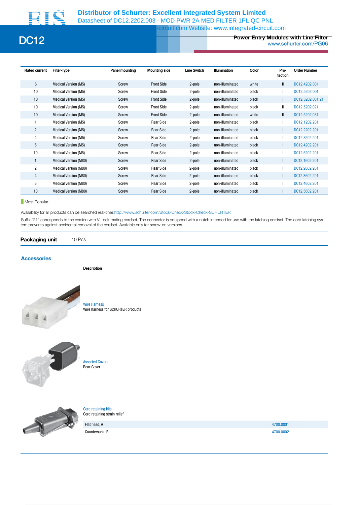

# **Power Entry Modules with Line Filter** DC12 www.schurter.com/PG06

| <b>Rated current</b> | <b>Filter-Type</b>           | Panel mounting | <b>Mounting side</b> | <b>Line Switch</b> | Illumination    | Color | Pro-<br>tection | <b>Order Number</b> |
|----------------------|------------------------------|----------------|----------------------|--------------------|-----------------|-------|-----------------|---------------------|
| 6                    | Medical Version (M5)         | Screw          | <b>Front Side</b>    | 2-pole             | non-illuminated | white | $\mathbf{I}$    | DC12.4202.031       |
| 10                   | Medical Version (M5)         | Screw          | <b>Front Side</b>    | 2-pole             | non-illuminated | black |                 | DC12.5202.001       |
| 10                   | <b>Medical Version (M5)</b>  | Screw          | <b>Front Side</b>    | 2-pole             | non-illuminated | black |                 | DC12.5202.001.21    |
| 10                   | <b>Medical Version (M5)</b>  | Screw          | <b>Front Side</b>    | 2-pole             | non-illuminated | black | $\mathsf{I}$    | DC12.5202.021       |
| 10                   | Medical Version (M5)         | Screw          | <b>Front Side</b>    | 2-pole             | non-illuminated | white | $\mathbf{I}$    | DC12.5202.031       |
|                      | Medical Version (M5)         | Screw          | <b>Rear Side</b>     | 2-pole             | non-illuminated | black |                 | DC12.1202.201       |
| $\overline{2}$       | <b>Medical Version (M5)</b>  | Screw          | <b>Rear Side</b>     | 2-pole             | non-illuminated | black |                 | DC12.2202.201       |
| 4                    | <b>Medical Version (M5)</b>  | Screw          | <b>Rear Side</b>     | 2-pole             | non-illuminated | black |                 | DC12.3202.201       |
| 6                    | Medical Version (M5)         | Screw          | <b>Rear Side</b>     | 2-pole             | non-illuminated | black |                 | DC12.4202.201       |
| 10                   | Medical Version (M5)         | Screw          | <b>Rear Side</b>     | 2-pole             | non-illuminated | black |                 | DC12.5202.201       |
|                      | Medical Version (M80)        | <b>Screw</b>   | <b>Rear Side</b>     | 2-pole             | non-illuminated | black |                 | DC12.1602.201       |
| $\overline{2}$       | <b>Medical Version (M80)</b> | Screw          | <b>Rear Side</b>     | 2-pole             | non-illuminated | black |                 | DC12.2602.201       |
| $\overline{4}$       | Medical Version (M80)        | Screw          | <b>Rear Side</b>     | 2-pole             | non-illuminated | black |                 | DC12.3602.201       |
| 6                    | Medical Version (M80)        | Screw          | <b>Rear Side</b>     | 2-pole             | non-illuminated | black |                 | DC12.4602.201       |
| 10                   | Medical Version (M80)        | Screw          | <b>Rear Side</b>     | 2-pole             | non-illuminated | black |                 | DC12.5602.201       |

**Most Popular.** 

Availability for all products can be searched real-time:http://www.schurter.com/Stock-Check/Stock-Check-SCHURTER

Suffix "21" corresponds to the version with V-Lock mating cordset. The connector is equipped with a notch intended for use with the latching cordset. The cord latching system prevents against accidental removal of the cordset. Available only for screw-on versions.

## **Packaging unit** 10 Pcs

### **Accessories**

**Description**



Wire Harness Wire harness for SCHURTER products



Assorted Covers Rear Cover



Cord retaining kits Cord retaining strain relief

Countersunk, B 4700.0002

Flat head, A 4700.0001